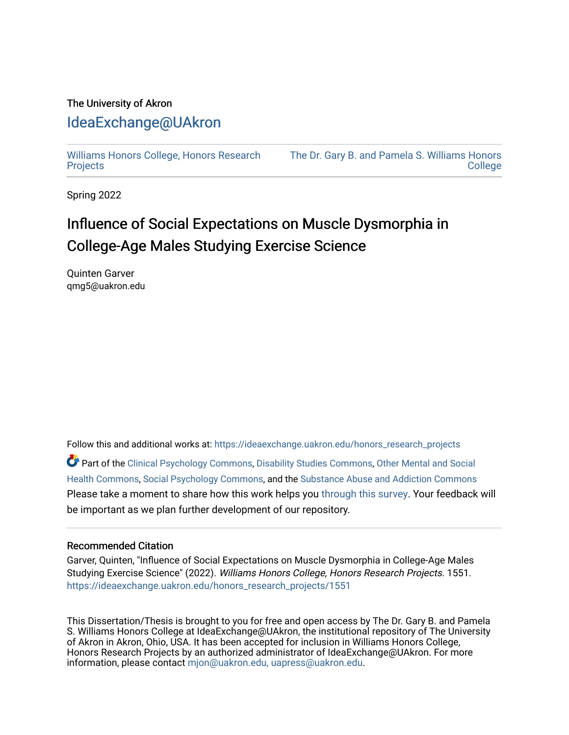# The University of Akron [IdeaExchange@UAkron](https://ideaexchange.uakron.edu/)

[Williams Honors College, Honors Research](https://ideaexchange.uakron.edu/honors_research_projects)  **[Projects](https://ideaexchange.uakron.edu/honors_research_projects)** 

[The Dr. Gary B. and Pamela S. Williams Honors](https://ideaexchange.uakron.edu/honorscollege_ideas)  **College** 

Spring 2022

# Influence of Social Expectations on Muscle Dysmorphia in College-Age Males Studying Exercise Science

Quinten Garver qmg5@uakron.edu

Follow this and additional works at: [https://ideaexchange.uakron.edu/honors\\_research\\_projects](https://ideaexchange.uakron.edu/honors_research_projects?utm_source=ideaexchange.uakron.edu%2Fhonors_research_projects%2F1551&utm_medium=PDF&utm_campaign=PDFCoverPages) 

Part of the [Clinical Psychology Commons,](http://network.bepress.com/hgg/discipline/406?utm_source=ideaexchange.uakron.edu%2Fhonors_research_projects%2F1551&utm_medium=PDF&utm_campaign=PDFCoverPages) [Disability Studies Commons,](http://network.bepress.com/hgg/discipline/1417?utm_source=ideaexchange.uakron.edu%2Fhonors_research_projects%2F1551&utm_medium=PDF&utm_campaign=PDFCoverPages) Other Mental and Social [Health Commons,](http://network.bepress.com/hgg/discipline/717?utm_source=ideaexchange.uakron.edu%2Fhonors_research_projects%2F1551&utm_medium=PDF&utm_campaign=PDFCoverPages) [Social Psychology Commons](http://network.bepress.com/hgg/discipline/414?utm_source=ideaexchange.uakron.edu%2Fhonors_research_projects%2F1551&utm_medium=PDF&utm_campaign=PDFCoverPages), and the [Substance Abuse and Addiction Commons](http://network.bepress.com/hgg/discipline/710?utm_source=ideaexchange.uakron.edu%2Fhonors_research_projects%2F1551&utm_medium=PDF&utm_campaign=PDFCoverPages)  Please take a moment to share how this work helps you [through this survey](http://survey.az1.qualtrics.com/SE/?SID=SV_eEVH54oiCbOw05f&URL=https://ideaexchange.uakron.edu/honors_research_projects/1551). Your feedback will be important as we plan further development of our repository.

#### Recommended Citation

Garver, Quinten, "Influence of Social Expectations on Muscle Dysmorphia in College-Age Males Studying Exercise Science" (2022). Williams Honors College, Honors Research Projects. 1551. [https://ideaexchange.uakron.edu/honors\\_research\\_projects/1551](https://ideaexchange.uakron.edu/honors_research_projects/1551?utm_source=ideaexchange.uakron.edu%2Fhonors_research_projects%2F1551&utm_medium=PDF&utm_campaign=PDFCoverPages) 

This Dissertation/Thesis is brought to you for free and open access by The Dr. Gary B. and Pamela S. Williams Honors College at IdeaExchange@UAkron, the institutional repository of The University of Akron in Akron, Ohio, USA. It has been accepted for inclusion in Williams Honors College, Honors Research Projects by an authorized administrator of IdeaExchange@UAkron. For more information, please contact [mjon@uakron.edu, uapress@uakron.edu.](mailto:mjon@uakron.edu,%20uapress@uakron.edu)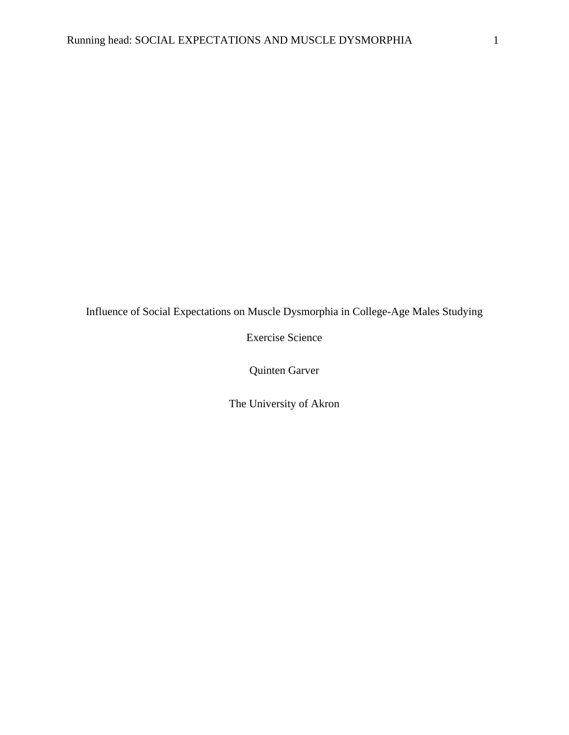Influence of Social Expectations on Muscle Dysmorphia in College-Age Males Studying

Exercise Science

Quinten Garver

The University of Akron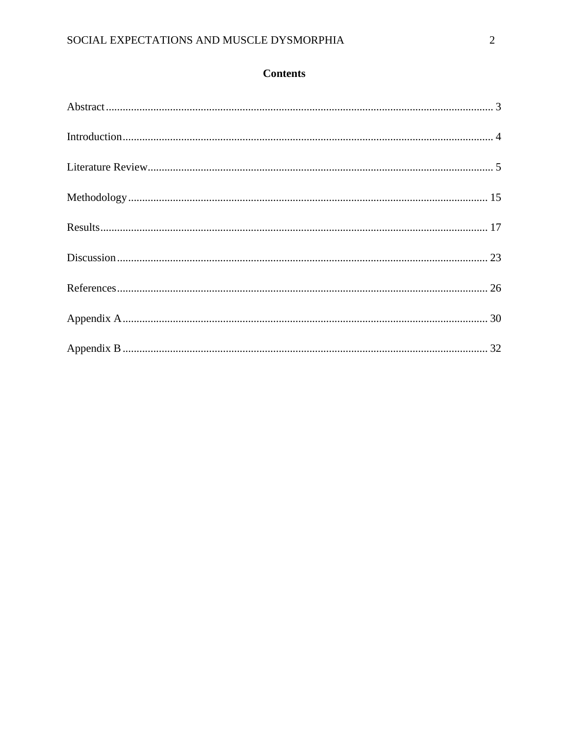## **Contents**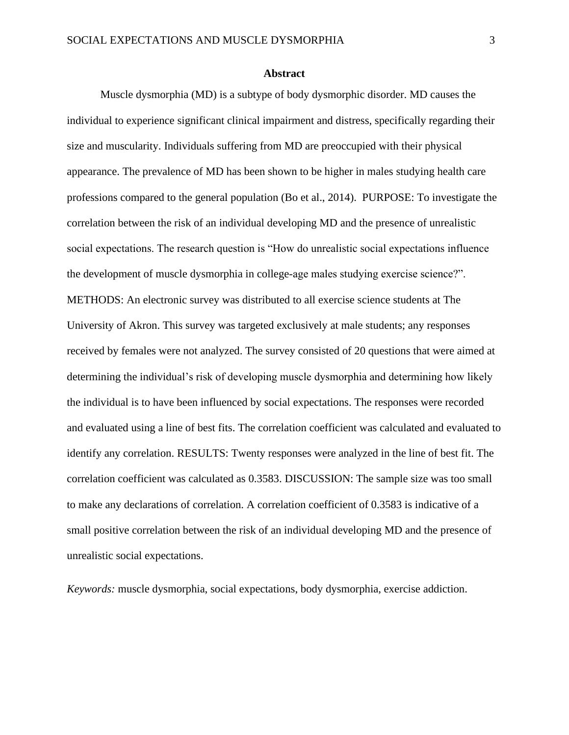#### **Abstract**

<span id="page-3-0"></span>Muscle dysmorphia (MD) is a subtype of body dysmorphic disorder. MD causes the individual to experience significant clinical impairment and distress, specifically regarding their size and muscularity. Individuals suffering from MD are preoccupied with their physical appearance. The prevalence of MD has been shown to be higher in males studying health care professions compared to the general population (Bo et al., 2014). PURPOSE: To investigate the correlation between the risk of an individual developing MD and the presence of unrealistic social expectations. The research question is "How do unrealistic social expectations influence the development of muscle dysmorphia in college-age males studying exercise science?". METHODS: An electronic survey was distributed to all exercise science students at The University of Akron. This survey was targeted exclusively at male students; any responses received by females were not analyzed. The survey consisted of 20 questions that were aimed at determining the individual's risk of developing muscle dysmorphia and determining how likely the individual is to have been influenced by social expectations. The responses were recorded and evaluated using a line of best fits. The correlation coefficient was calculated and evaluated to identify any correlation. RESULTS: Twenty responses were analyzed in the line of best fit. The correlation coefficient was calculated as 0.3583. DISCUSSION: The sample size was too small to make any declarations of correlation. A correlation coefficient of 0.3583 is indicative of a small positive correlation between the risk of an individual developing MD and the presence of unrealistic social expectations.

*Keywords:* muscle dysmorphia, social expectations, body dysmorphia, exercise addiction.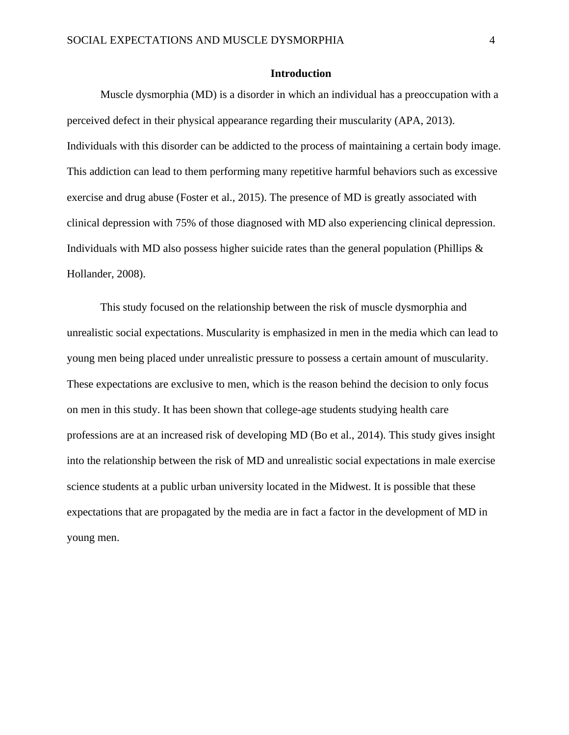#### <span id="page-4-0"></span>**Introduction**

Muscle dysmorphia (MD) is a disorder in which an individual has a preoccupation with a perceived defect in their physical appearance regarding their muscularity (APA, 2013). Individuals with this disorder can be addicted to the process of maintaining a certain body image. This addiction can lead to them performing many repetitive harmful behaviors such as excessive exercise and drug abuse (Foster et al., 2015). The presence of MD is greatly associated with clinical depression with 75% of those diagnosed with MD also experiencing clinical depression. Individuals with MD also possess higher suicide rates than the general population (Phillips  $\&$ Hollander, 2008).

This study focused on the relationship between the risk of muscle dysmorphia and unrealistic social expectations. Muscularity is emphasized in men in the media which can lead to young men being placed under unrealistic pressure to possess a certain amount of muscularity. These expectations are exclusive to men, which is the reason behind the decision to only focus on men in this study. It has been shown that college-age students studying health care professions are at an increased risk of developing MD (Bo et al., 2014). This study gives insight into the relationship between the risk of MD and unrealistic social expectations in male exercise science students at a public urban university located in the Midwest. It is possible that these expectations that are propagated by the media are in fact a factor in the development of MD in young men.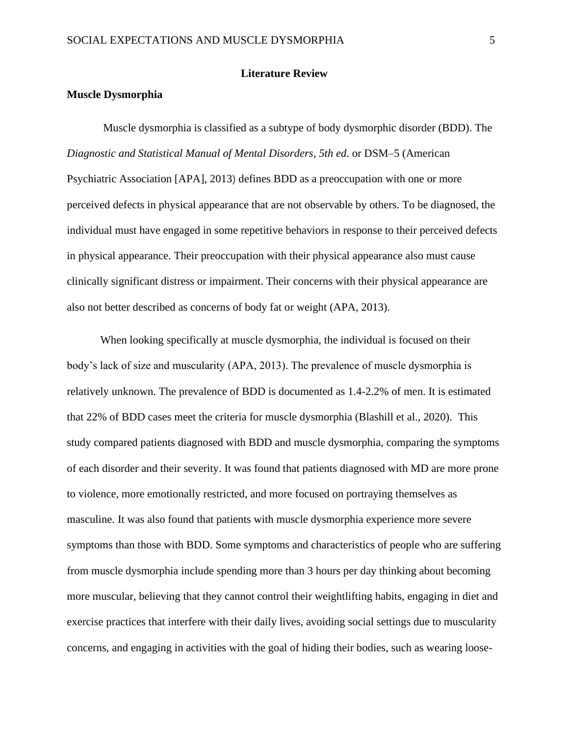#### **Literature Review**

#### <span id="page-5-0"></span>**Muscle Dysmorphia**

Muscle dysmorphia is classified as a subtype of body dysmorphic disorder (BDD). The *Diagnostic and Statistical Manual of Mental Disorders*, *5th ed*. or DSM–5 (American Psychiatric Association [APA], 2013) defines BDD as a preoccupation with one or more perceived defects in physical appearance that are not observable by others. To be diagnosed, the individual must have engaged in some repetitive behaviors in response to their perceived defects in physical appearance. Their preoccupation with their physical appearance also must cause clinically significant distress or impairment. Their concerns with their physical appearance are also not better described as concerns of body fat or weight (APA, 2013).

When looking specifically at muscle dysmorphia, the individual is focused on their body's lack of size and muscularity (APA, 2013). The prevalence of muscle dysmorphia is relatively unknown. The prevalence of BDD is documented as 1.4-2.2% of men. It is estimated that 22% of BDD cases meet the criteria for muscle dysmorphia (Blashill et al., 2020). This study compared patients diagnosed with BDD and muscle dysmorphia, comparing the symptoms of each disorder and their severity. It was found that patients diagnosed with MD are more prone to violence, more emotionally restricted, and more focused on portraying themselves as masculine. It was also found that patients with muscle dysmorphia experience more severe symptoms than those with BDD. Some symptoms and characteristics of people who are suffering from muscle dysmorphia include spending more than 3 hours per day thinking about becoming more muscular, believing that they cannot control their weightlifting habits, engaging in diet and exercise practices that interfere with their daily lives, avoiding social settings due to muscularity concerns, and engaging in activities with the goal of hiding their bodies, such as wearing loose-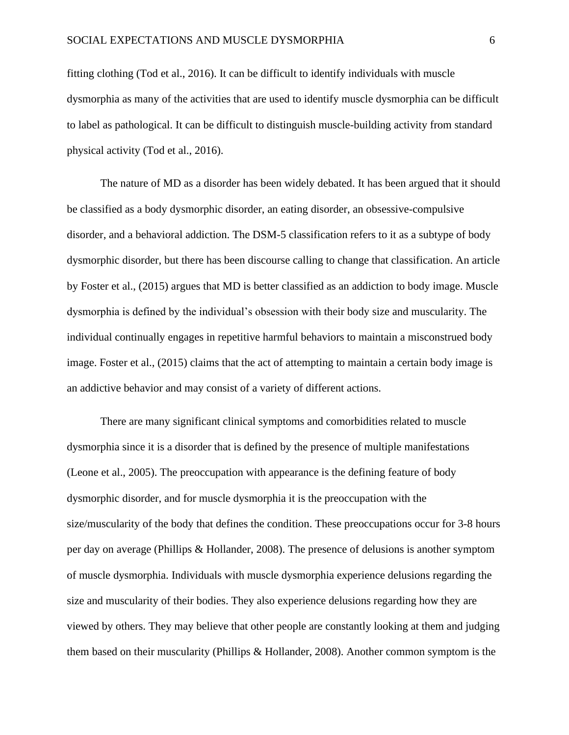fitting clothing (Tod et al., 2016). It can be difficult to identify individuals with muscle dysmorphia as many of the activities that are used to identify muscle dysmorphia can be difficult to label as pathological. It can be difficult to distinguish muscle-building activity from standard physical activity (Tod et al., 2016).

The nature of MD as a disorder has been widely debated. It has been argued that it should be classified as a body dysmorphic disorder, an eating disorder, an obsessive-compulsive disorder, and a behavioral addiction. The DSM-5 classification refers to it as a subtype of body dysmorphic disorder, but there has been discourse calling to change that classification. An article by Foster et al., (2015) argues that MD is better classified as an addiction to body image. Muscle dysmorphia is defined by the individual's obsession with their body size and muscularity. The individual continually engages in repetitive harmful behaviors to maintain a misconstrued body image. Foster et al., (2015) claims that the act of attempting to maintain a certain body image is an addictive behavior and may consist of a variety of different actions.

There are many significant clinical symptoms and comorbidities related to muscle dysmorphia since it is a disorder that is defined by the presence of multiple manifestations (Leone et al., 2005). The preoccupation with appearance is the defining feature of body dysmorphic disorder, and for muscle dysmorphia it is the preoccupation with the size/muscularity of the body that defines the condition. These preoccupations occur for 3-8 hours per day on average (Phillips & Hollander, 2008). The presence of delusions is another symptom of muscle dysmorphia. Individuals with muscle dysmorphia experience delusions regarding the size and muscularity of their bodies. They also experience delusions regarding how they are viewed by others. They may believe that other people are constantly looking at them and judging them based on their muscularity (Phillips & Hollander, 2008). Another common symptom is the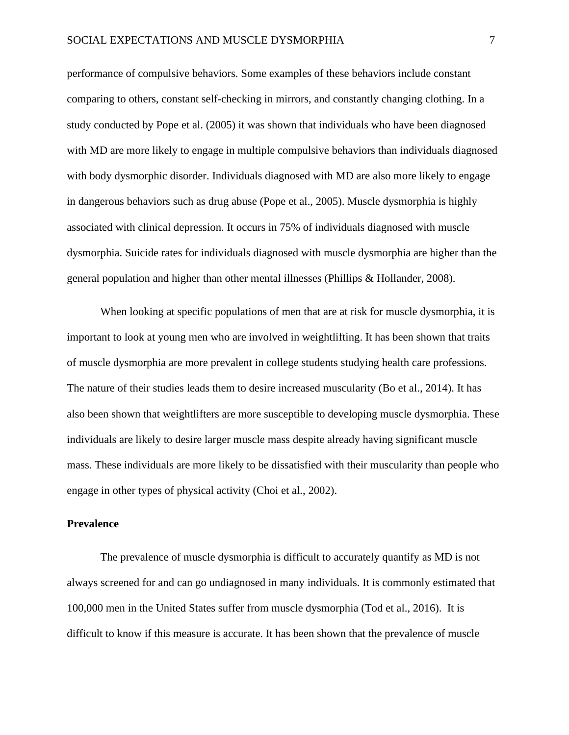performance of compulsive behaviors. Some examples of these behaviors include constant comparing to others, constant self-checking in mirrors, and constantly changing clothing. In a study conducted by Pope et al. (2005) it was shown that individuals who have been diagnosed with MD are more likely to engage in multiple compulsive behaviors than individuals diagnosed with body dysmorphic disorder. Individuals diagnosed with MD are also more likely to engage in dangerous behaviors such as drug abuse (Pope et al., 2005). Muscle dysmorphia is highly associated with clinical depression. It occurs in 75% of individuals diagnosed with muscle dysmorphia. Suicide rates for individuals diagnosed with muscle dysmorphia are higher than the general population and higher than other mental illnesses (Phillips & Hollander, 2008).

When looking at specific populations of men that are at risk for muscle dysmorphia, it is important to look at young men who are involved in weightlifting. It has been shown that traits of muscle dysmorphia are more prevalent in college students studying health care professions. The nature of their studies leads them to desire increased muscularity (Bo et al., 2014). It has also been shown that weightlifters are more susceptible to developing muscle dysmorphia. These individuals are likely to desire larger muscle mass despite already having significant muscle mass. These individuals are more likely to be dissatisfied with their muscularity than people who engage in other types of physical activity (Choi et al., 2002).

#### **Prevalence**

The prevalence of muscle dysmorphia is difficult to accurately quantify as MD is not always screened for and can go undiagnosed in many individuals. It is commonly estimated that 100,000 men in the United States suffer from muscle dysmorphia (Tod et al., 2016). It is difficult to know if this measure is accurate. It has been shown that the prevalence of muscle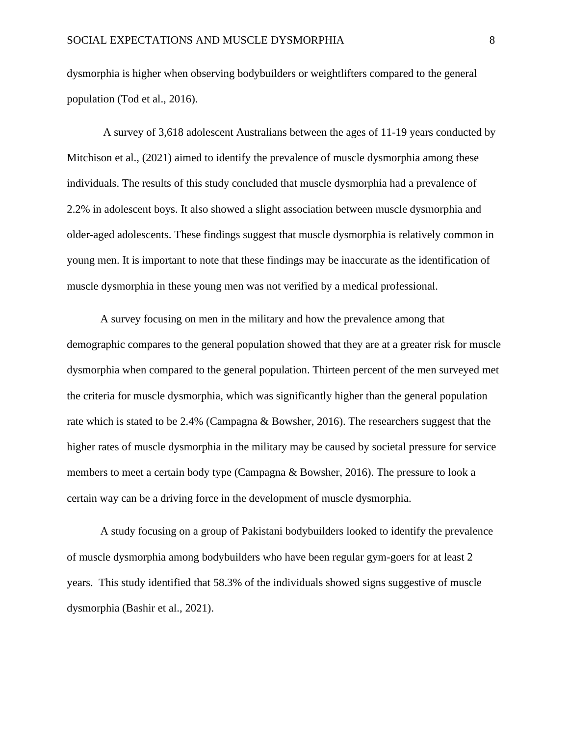dysmorphia is higher when observing bodybuilders or weightlifters compared to the general population (Tod et al., 2016).

A survey of 3,618 adolescent Australians between the ages of 11-19 years conducted by Mitchison et al., (2021) aimed to identify the prevalence of muscle dysmorphia among these individuals. The results of this study concluded that muscle dysmorphia had a prevalence of 2.2% in adolescent boys. It also showed a slight association between muscle dysmorphia and older-aged adolescents. These findings suggest that muscle dysmorphia is relatively common in young men. It is important to note that these findings may be inaccurate as the identification of muscle dysmorphia in these young men was not verified by a medical professional.

A survey focusing on men in the military and how the prevalence among that demographic compares to the general population showed that they are at a greater risk for muscle dysmorphia when compared to the general population. Thirteen percent of the men surveyed met the criteria for muscle dysmorphia, which was significantly higher than the general population rate which is stated to be 2.4% (Campagna & Bowsher, 2016). The researchers suggest that the higher rates of muscle dysmorphia in the military may be caused by societal pressure for service members to meet a certain body type (Campagna & Bowsher, 2016). The pressure to look a certain way can be a driving force in the development of muscle dysmorphia.

A study focusing on a group of Pakistani bodybuilders looked to identify the prevalence of muscle dysmorphia among bodybuilders who have been regular gym-goers for at least 2 years. This study identified that 58.3% of the individuals showed signs suggestive of muscle dysmorphia (Bashir et al., 2021).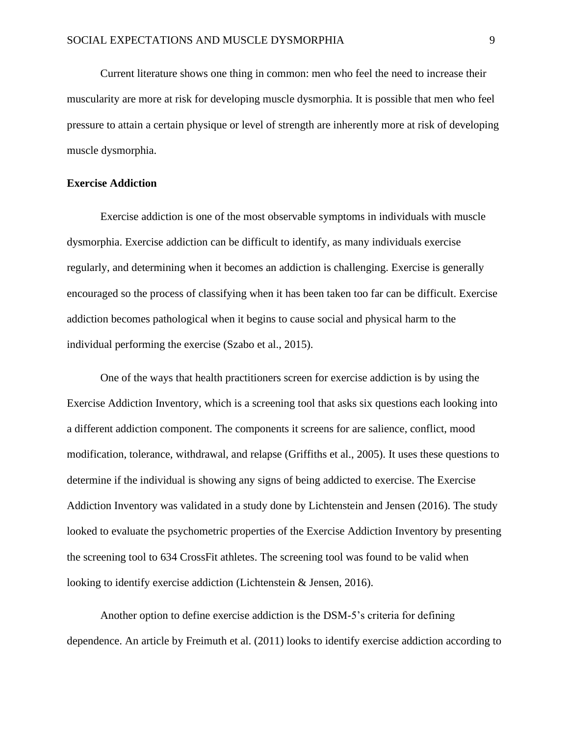Current literature shows one thing in common: men who feel the need to increase their muscularity are more at risk for developing muscle dysmorphia. It is possible that men who feel pressure to attain a certain physique or level of strength are inherently more at risk of developing muscle dysmorphia.

#### **Exercise Addiction**

Exercise addiction is one of the most observable symptoms in individuals with muscle dysmorphia. Exercise addiction can be difficult to identify, as many individuals exercise regularly, and determining when it becomes an addiction is challenging. Exercise is generally encouraged so the process of classifying when it has been taken too far can be difficult. Exercise addiction becomes pathological when it begins to cause social and physical harm to the individual performing the exercise (Szabo et al., 2015).

One of the ways that health practitioners screen for exercise addiction is by using the Exercise Addiction Inventory, which is a screening tool that asks six questions each looking into a different addiction component. The components it screens for are salience, conflict, mood modification, tolerance, withdrawal, and relapse (Griffiths et al., 2005). It uses these questions to determine if the individual is showing any signs of being addicted to exercise. The Exercise Addiction Inventory was validated in a study done by Lichtenstein and Jensen (2016). The study looked to evaluate the psychometric properties of the Exercise Addiction Inventory by presenting the screening tool to 634 CrossFit athletes. The screening tool was found to be valid when looking to identify exercise addiction (Lichtenstein & Jensen, 2016).

Another option to define exercise addiction is the DSM-5's criteria for defining dependence. An article by Freimuth et al. (2011) looks to identify exercise addiction according to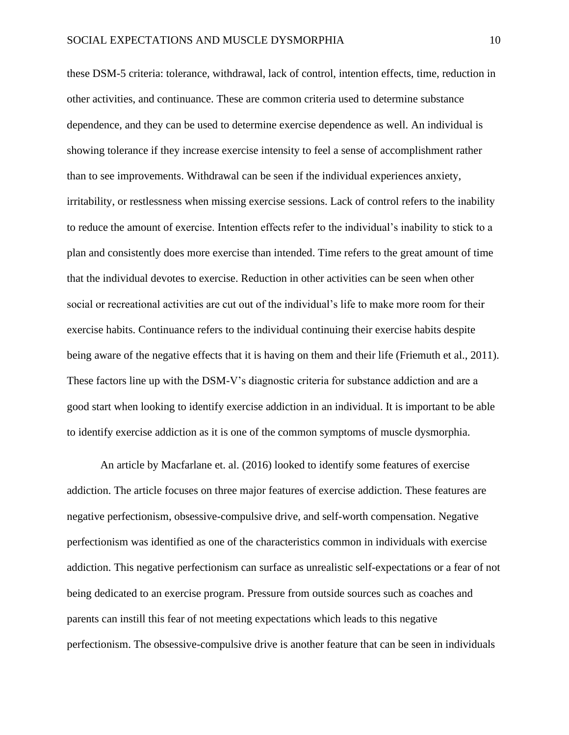these DSM-5 criteria: tolerance, withdrawal, lack of control, intention effects, time, reduction in other activities, and continuance. These are common criteria used to determine substance dependence, and they can be used to determine exercise dependence as well. An individual is showing tolerance if they increase exercise intensity to feel a sense of accomplishment rather than to see improvements. Withdrawal can be seen if the individual experiences anxiety, irritability, or restlessness when missing exercise sessions. Lack of control refers to the inability to reduce the amount of exercise. Intention effects refer to the individual's inability to stick to a plan and consistently does more exercise than intended. Time refers to the great amount of time that the individual devotes to exercise. Reduction in other activities can be seen when other social or recreational activities are cut out of the individual's life to make more room for their exercise habits. Continuance refers to the individual continuing their exercise habits despite being aware of the negative effects that it is having on them and their life (Friemuth et al., 2011). These factors line up with the DSM-V's diagnostic criteria for substance addiction and are a good start when looking to identify exercise addiction in an individual. It is important to be able to identify exercise addiction as it is one of the common symptoms of muscle dysmorphia.

An article by Macfarlane et. al. (2016) looked to identify some features of exercise addiction. The article focuses on three major features of exercise addiction. These features are negative perfectionism, obsessive-compulsive drive, and self-worth compensation. Negative perfectionism was identified as one of the characteristics common in individuals with exercise addiction. This negative perfectionism can surface as unrealistic self-expectations or a fear of not being dedicated to an exercise program. Pressure from outside sources such as coaches and parents can instill this fear of not meeting expectations which leads to this negative perfectionism. The obsessive-compulsive drive is another feature that can be seen in individuals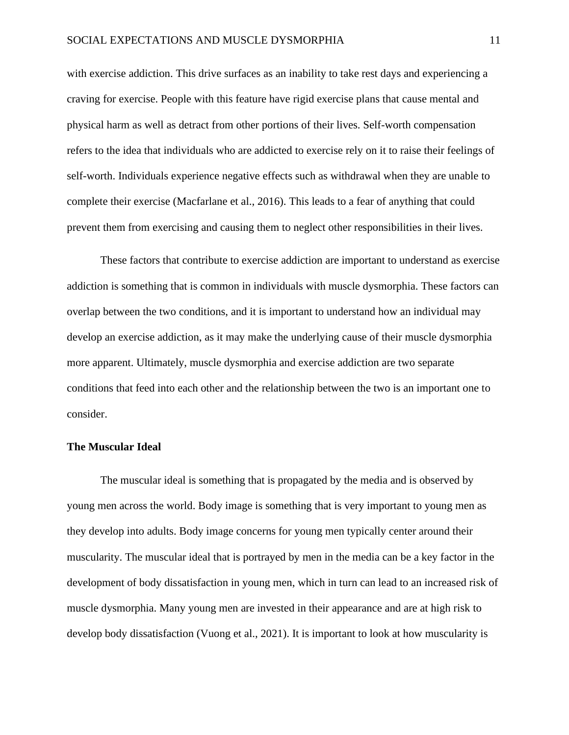with exercise addiction. This drive surfaces as an inability to take rest days and experiencing a craving for exercise. People with this feature have rigid exercise plans that cause mental and physical harm as well as detract from other portions of their lives. Self-worth compensation refers to the idea that individuals who are addicted to exercise rely on it to raise their feelings of self-worth. Individuals experience negative effects such as withdrawal when they are unable to complete their exercise (Macfarlane et al., 2016). This leads to a fear of anything that could prevent them from exercising and causing them to neglect other responsibilities in their lives.

These factors that contribute to exercise addiction are important to understand as exercise addiction is something that is common in individuals with muscle dysmorphia. These factors can overlap between the two conditions, and it is important to understand how an individual may develop an exercise addiction, as it may make the underlying cause of their muscle dysmorphia more apparent. Ultimately, muscle dysmorphia and exercise addiction are two separate conditions that feed into each other and the relationship between the two is an important one to consider.

#### **The Muscular Ideal**

The muscular ideal is something that is propagated by the media and is observed by young men across the world. Body image is something that is very important to young men as they develop into adults. Body image concerns for young men typically center around their muscularity. The muscular ideal that is portrayed by men in the media can be a key factor in the development of body dissatisfaction in young men, which in turn can lead to an increased risk of muscle dysmorphia. Many young men are invested in their appearance and are at high risk to develop body dissatisfaction (Vuong et al., 2021). It is important to look at how muscularity is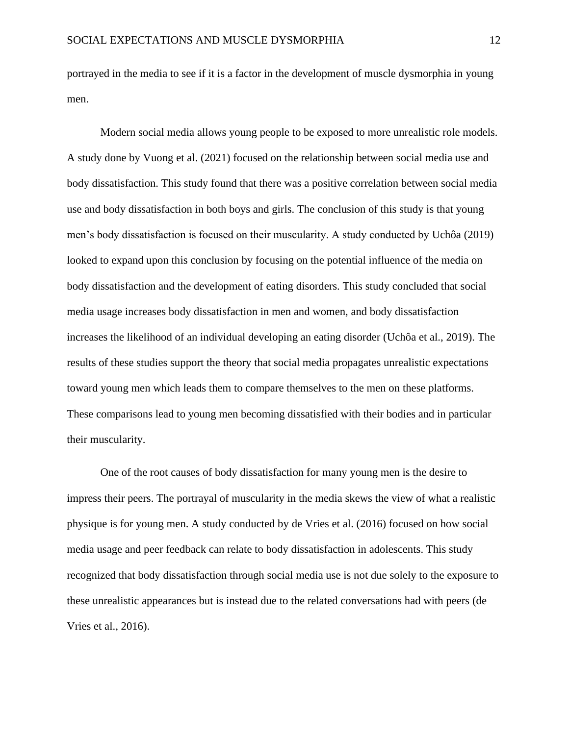portrayed in the media to see if it is a factor in the development of muscle dysmorphia in young men.

Modern social media allows young people to be exposed to more unrealistic role models. A study done by Vuong et al. (2021) focused on the relationship between social media use and body dissatisfaction. This study found that there was a positive correlation between social media use and body dissatisfaction in both boys and girls. The conclusion of this study is that young men's body dissatisfaction is focused on their muscularity. A study conducted by Uchôa (2019) looked to expand upon this conclusion by focusing on the potential influence of the media on body dissatisfaction and the development of eating disorders. This study concluded that social media usage increases body dissatisfaction in men and women, and body dissatisfaction increases the likelihood of an individual developing an eating disorder (Uchôa et al., 2019). The results of these studies support the theory that social media propagates unrealistic expectations toward young men which leads them to compare themselves to the men on these platforms. These comparisons lead to young men becoming dissatisfied with their bodies and in particular their muscularity.

One of the root causes of body dissatisfaction for many young men is the desire to impress their peers. The portrayal of muscularity in the media skews the view of what a realistic physique is for young men. A study conducted by de Vries et al. (2016) focused on how social media usage and peer feedback can relate to body dissatisfaction in adolescents. This study recognized that body dissatisfaction through social media use is not due solely to the exposure to these unrealistic appearances but is instead due to the related conversations had with peers (de Vries et al., 2016).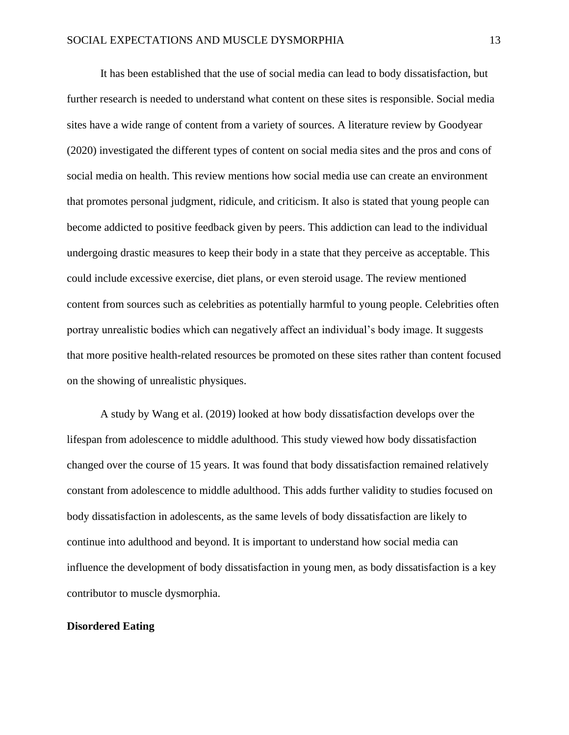It has been established that the use of social media can lead to body dissatisfaction, but further research is needed to understand what content on these sites is responsible. Social media sites have a wide range of content from a variety of sources. A literature review by Goodyear (2020) investigated the different types of content on social media sites and the pros and cons of social media on health. This review mentions how social media use can create an environment that promotes personal judgment, ridicule, and criticism. It also is stated that young people can become addicted to positive feedback given by peers. This addiction can lead to the individual undergoing drastic measures to keep their body in a state that they perceive as acceptable. This could include excessive exercise, diet plans, or even steroid usage. The review mentioned content from sources such as celebrities as potentially harmful to young people. Celebrities often portray unrealistic bodies which can negatively affect an individual's body image. It suggests that more positive health-related resources be promoted on these sites rather than content focused on the showing of unrealistic physiques.

A study by Wang et al. (2019) looked at how body dissatisfaction develops over the lifespan from adolescence to middle adulthood. This study viewed how body dissatisfaction changed over the course of 15 years. It was found that body dissatisfaction remained relatively constant from adolescence to middle adulthood. This adds further validity to studies focused on body dissatisfaction in adolescents, as the same levels of body dissatisfaction are likely to continue into adulthood and beyond. It is important to understand how social media can influence the development of body dissatisfaction in young men, as body dissatisfaction is a key contributor to muscle dysmorphia.

#### **Disordered Eating**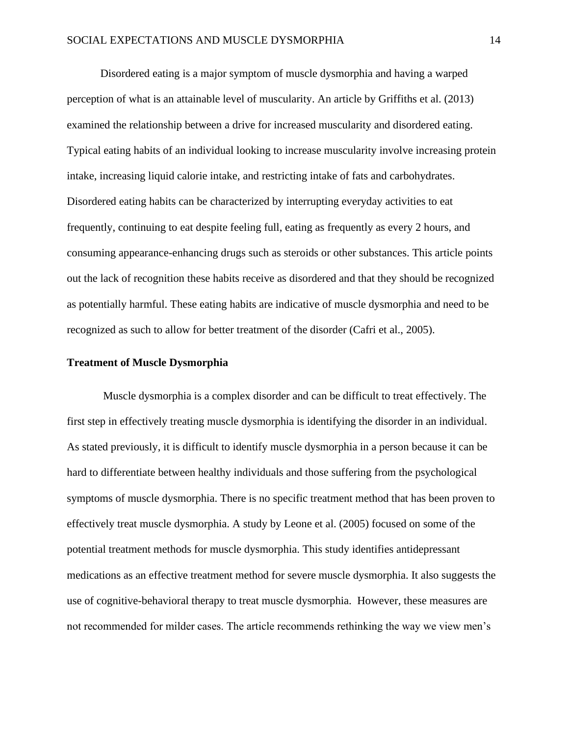Disordered eating is a major symptom of muscle dysmorphia and having a warped perception of what is an attainable level of muscularity. An article by Griffiths et al. (2013) examined the relationship between a drive for increased muscularity and disordered eating. Typical eating habits of an individual looking to increase muscularity involve increasing protein intake, increasing liquid calorie intake, and restricting intake of fats and carbohydrates. Disordered eating habits can be characterized by interrupting everyday activities to eat frequently, continuing to eat despite feeling full, eating as frequently as every 2 hours, and consuming appearance-enhancing drugs such as steroids or other substances. This article points out the lack of recognition these habits receive as disordered and that they should be recognized as potentially harmful. These eating habits are indicative of muscle dysmorphia and need to be recognized as such to allow for better treatment of the disorder (Cafri et al., 2005).

#### **Treatment of Muscle Dysmorphia**

Muscle dysmorphia is a complex disorder and can be difficult to treat effectively. The first step in effectively treating muscle dysmorphia is identifying the disorder in an individual. As stated previously, it is difficult to identify muscle dysmorphia in a person because it can be hard to differentiate between healthy individuals and those suffering from the psychological symptoms of muscle dysmorphia. There is no specific treatment method that has been proven to effectively treat muscle dysmorphia. A study by Leone et al. (2005) focused on some of the potential treatment methods for muscle dysmorphia. This study identifies antidepressant medications as an effective treatment method for severe muscle dysmorphia. It also suggests the use of cognitive-behavioral therapy to treat muscle dysmorphia. However, these measures are not recommended for milder cases. The article recommends rethinking the way we view men's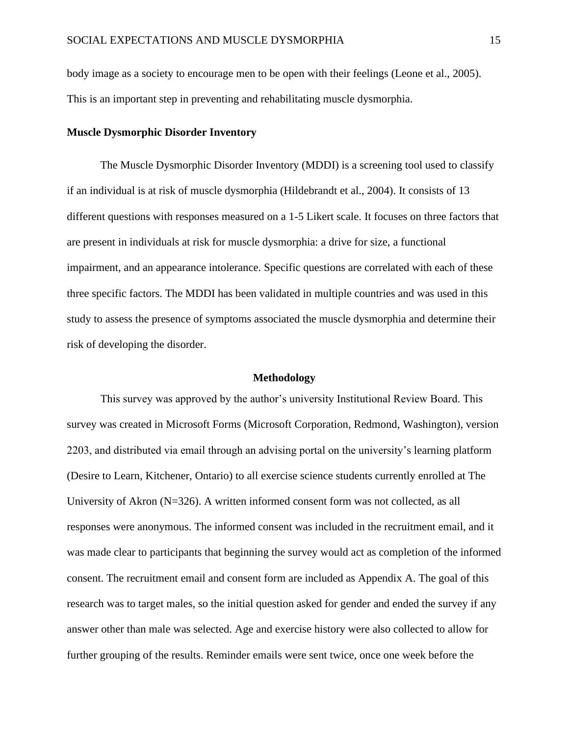body image as a society to encourage men to be open with their feelings (Leone et al., 2005). This is an important step in preventing and rehabilitating muscle dysmorphia.

#### **Muscle Dysmorphic Disorder Inventory**

The Muscle Dysmorphic Disorder Inventory (MDDI) is a screening tool used to classify if an individual is at risk of muscle dysmorphia (Hildebrandt et al., 2004). It consists of 13 different questions with responses measured on a 1-5 Likert scale. It focuses on three factors that are present in individuals at risk for muscle dysmorphia: a drive for size, a functional impairment, and an appearance intolerance. Specific questions are correlated with each of these three specific factors. The MDDI has been validated in multiple countries and was used in this study to assess the presence of symptoms associated the muscle dysmorphia and determine their risk of developing the disorder.

#### **Methodology**

<span id="page-15-0"></span>This survey was approved by the author's university Institutional Review Board. This survey was created in Microsoft Forms (Microsoft Corporation, Redmond, Washington), version 2203, and distributed via email through an advising portal on the university's learning platform (Desire to Learn, Kitchener, Ontario) to all exercise science students currently enrolled at The University of Akron (N=326). A written informed consent form was not collected, as all responses were anonymous. The informed consent was included in the recruitment email, and it was made clear to participants that beginning the survey would act as completion of the informed consent. The recruitment email and consent form are included as Appendix A. The goal of this research was to target males, so the initial question asked for gender and ended the survey if any answer other than male was selected. Age and exercise history were also collected to allow for further grouping of the results. Reminder emails were sent twice, once one week before the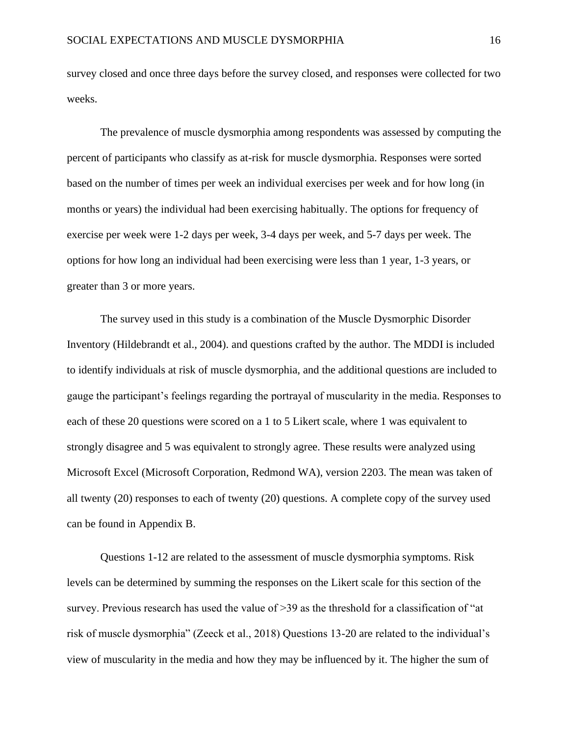survey closed and once three days before the survey closed, and responses were collected for two weeks.

The prevalence of muscle dysmorphia among respondents was assessed by computing the percent of participants who classify as at-risk for muscle dysmorphia. Responses were sorted based on the number of times per week an individual exercises per week and for how long (in months or years) the individual had been exercising habitually. The options for frequency of exercise per week were 1-2 days per week, 3-4 days per week, and 5-7 days per week. The options for how long an individual had been exercising were less than 1 year, 1-3 years, or greater than 3 or more years.

The survey used in this study is a combination of the Muscle Dysmorphic Disorder Inventory (Hildebrandt et al., 2004). and questions crafted by the author. The MDDI is included to identify individuals at risk of muscle dysmorphia, and the additional questions are included to gauge the participant's feelings regarding the portrayal of muscularity in the media. Responses to each of these 20 questions were scored on a 1 to 5 Likert scale, where 1 was equivalent to strongly disagree and 5 was equivalent to strongly agree. These results were analyzed using Microsoft Excel (Microsoft Corporation, Redmond WA), version 2203. The mean was taken of all twenty (20) responses to each of twenty (20) questions. A complete copy of the survey used can be found in Appendix B.

Questions 1-12 are related to the assessment of muscle dysmorphia symptoms. Risk levels can be determined by summing the responses on the Likert scale for this section of the survey. Previous research has used the value of >39 as the threshold for a classification of "at risk of muscle dysmorphia" (Zeeck et al., 2018) Questions 13-20 are related to the individual's view of muscularity in the media and how they may be influenced by it. The higher the sum of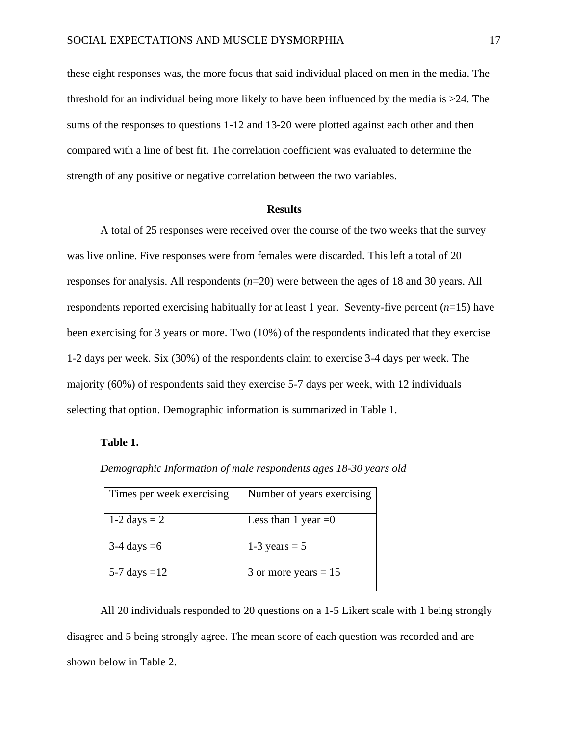these eight responses was, the more focus that said individual placed on men in the media. The threshold for an individual being more likely to have been influenced by the media is >24. The sums of the responses to questions 1-12 and 13-20 were plotted against each other and then compared with a line of best fit. The correlation coefficient was evaluated to determine the strength of any positive or negative correlation between the two variables.

#### **Results**

<span id="page-17-0"></span>A total of 25 responses were received over the course of the two weeks that the survey was live online. Five responses were from females were discarded. This left a total of 20 responses for analysis. All respondents (*n*=20) were between the ages of 18 and 30 years. All respondents reported exercising habitually for at least 1 year. Seventy-five percent (*n*=15) have been exercising for 3 years or more. Two (10%) of the respondents indicated that they exercise 1-2 days per week. Six (30%) of the respondents claim to exercise 3-4 days per week. The majority (60%) of respondents said they exercise 5-7 days per week, with 12 individuals selecting that option. Demographic information is summarized in Table 1.

#### **Table 1.**

|  |  | Demographic Information of male respondents ages 18-30 years old |  |
|--|--|------------------------------------------------------------------|--|
|  |  |                                                                  |  |

| Times per week exercising | Number of years exercising |
|---------------------------|----------------------------|
| 1-2 days $= 2$            | Less than 1 year $=0$      |
| $3-4$ days $=6$           | 1-3 years $=$ 5            |
| 5-7 days = $12$           | 3 or more years $= 15$     |

All 20 individuals responded to 20 questions on a 1-5 Likert scale with 1 being strongly disagree and 5 being strongly agree. The mean score of each question was recorded and are shown below in Table 2.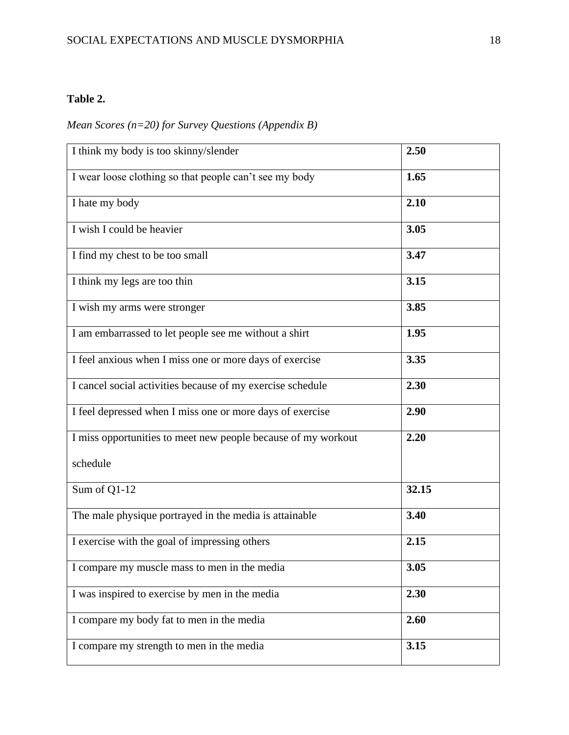## **Table 2.**

# *Mean Scores (n=20) for Survey Questions (Appendix B)*

| I think my body is too skinny/slender                         | 2.50  |
|---------------------------------------------------------------|-------|
| I wear loose clothing so that people can't see my body        | 1.65  |
| I hate my body                                                | 2.10  |
| I wish I could be heavier                                     | 3.05  |
| I find my chest to be too small                               | 3.47  |
| I think my legs are too thin                                  | 3.15  |
| I wish my arms were stronger                                  | 3.85  |
| I am embarrassed to let people see me without a shirt         | 1.95  |
| I feel anxious when I miss one or more days of exercise       | 3.35  |
| I cancel social activities because of my exercise schedule    | 2.30  |
| I feel depressed when I miss one or more days of exercise     | 2.90  |
| I miss opportunities to meet new people because of my workout | 2.20  |
| schedule                                                      |       |
| Sum of Q1-12                                                  | 32.15 |
| The male physique portrayed in the media is attainable        | 3.40  |
| I exercise with the goal of impressing others                 | 2.15  |
| I compare my muscle mass to men in the media                  | 3.05  |
| I was inspired to exercise by men in the media                | 2.30  |
| I compare my body fat to men in the media                     | 2.60  |
| I compare my strength to men in the media                     | 3.15  |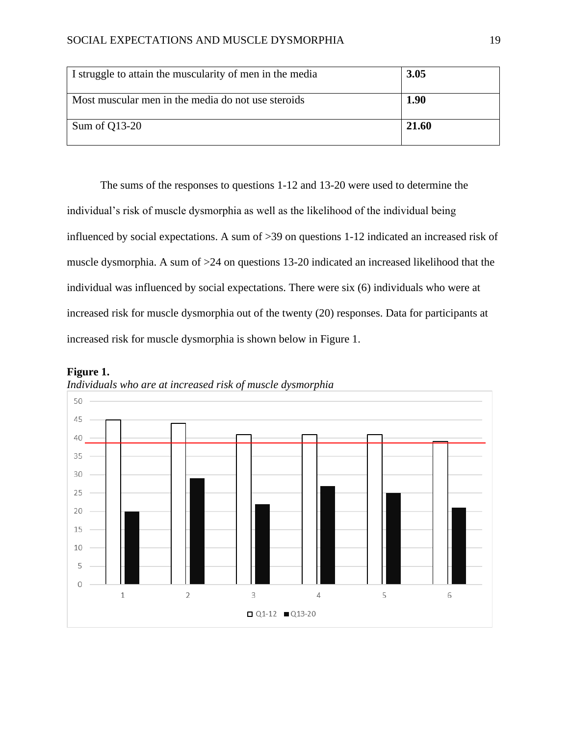| I struggle to attain the muscularity of men in the media | 3.05  |
|----------------------------------------------------------|-------|
| Most muscular men in the media do not use steroids       | 1.90  |
| Sum of Q13-20                                            | 21.60 |

The sums of the responses to questions 1-12 and 13-20 were used to determine the individual's risk of muscle dysmorphia as well as the likelihood of the individual being influenced by social expectations. A sum of >39 on questions 1-12 indicated an increased risk of muscle dysmorphia. A sum of >24 on questions 13-20 indicated an increased likelihood that the individual was influenced by social expectations. There were six (6) individuals who were at increased risk for muscle dysmorphia out of the twenty (20) responses. Data for participants at increased risk for muscle dysmorphia is shown below in Figure 1.





*Individuals who are at increased risk of muscle dysmorphia*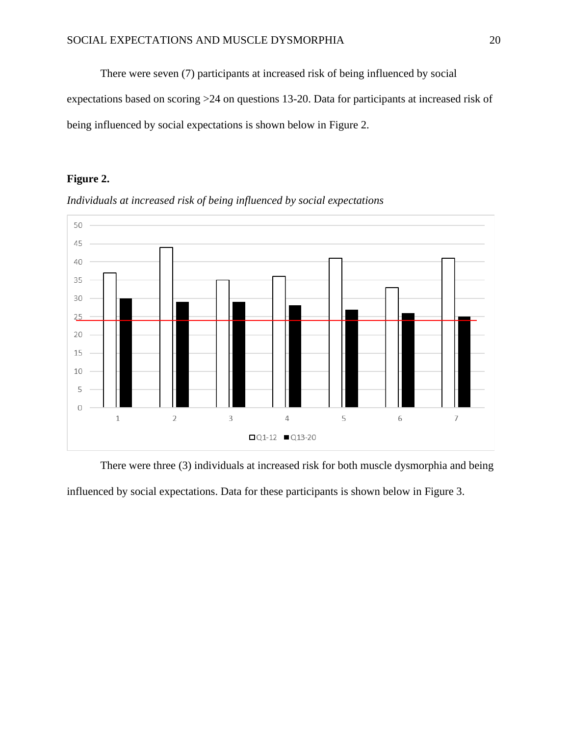There were seven (7) participants at increased risk of being influenced by social expectations based on scoring >24 on questions 13-20. Data for participants at increased risk of being influenced by social expectations is shown below in Figure 2.

## **Figure 2.**





There were three (3) individuals at increased risk for both muscle dysmorphia and being influenced by social expectations. Data for these participants is shown below in Figure 3.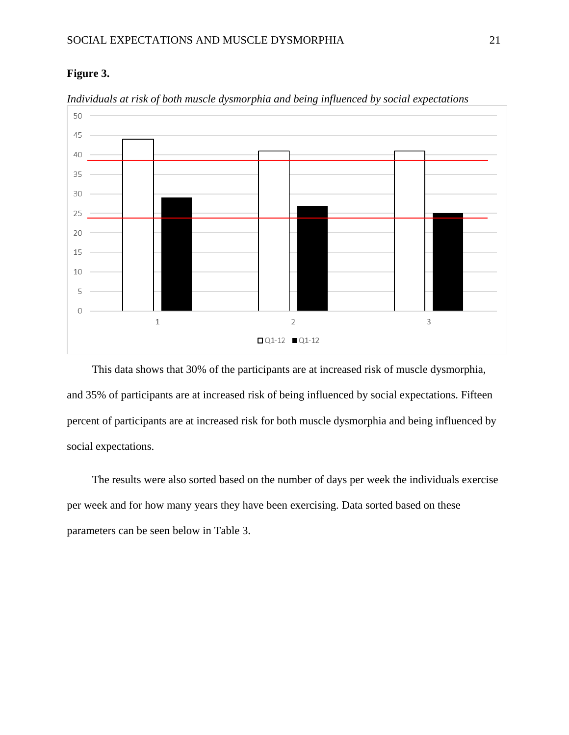### **Figure 3.**



*Individuals at risk of both muscle dysmorphia and being influenced by social expectations*

This data shows that 30% of the participants are at increased risk of muscle dysmorphia, and 35% of participants are at increased risk of being influenced by social expectations. Fifteen percent of participants are at increased risk for both muscle dysmorphia and being influenced by social expectations.

The results were also sorted based on the number of days per week the individuals exercise per week and for how many years they have been exercising. Data sorted based on these parameters can be seen below in Table 3.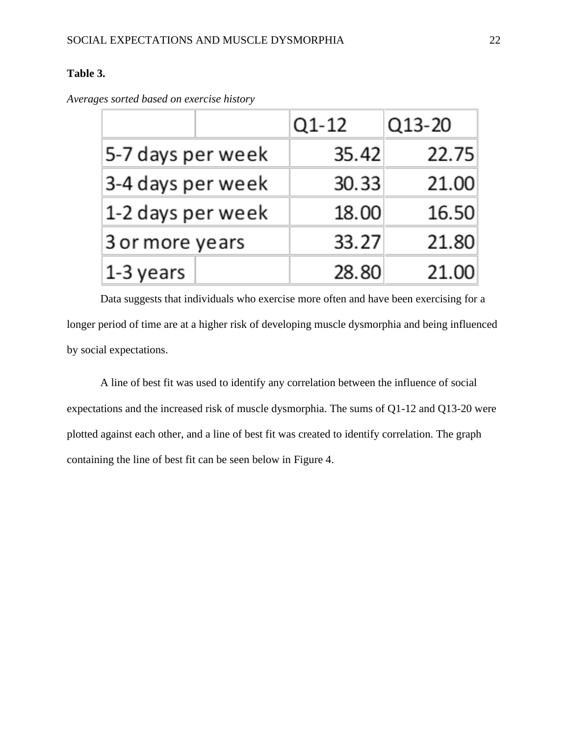## **Table 3.**

|                   | Q1-12 | Q13-20 |
|-------------------|-------|--------|
| 5-7 days per week | 35.42 | 22.75  |
| 3-4 days per week | 30.33 | 21.00  |
| 1-2 days per week | 18.00 | 16.50  |
| 3 or more years   | 33.27 | 21.80  |
| 1-3 years         | 28.80 | 21.00  |

*Averages sorted based on exercise history*

Data suggests that individuals who exercise more often and have been exercising for a longer period of time are at a higher risk of developing muscle dysmorphia and being influenced by social expectations.

A line of best fit was used to identify any correlation between the influence of social expectations and the increased risk of muscle dysmorphia. The sums of Q1-12 and Q13-20 were plotted against each other, and a line of best fit was created to identify correlation. The graph containing the line of best fit can be seen below in Figure 4.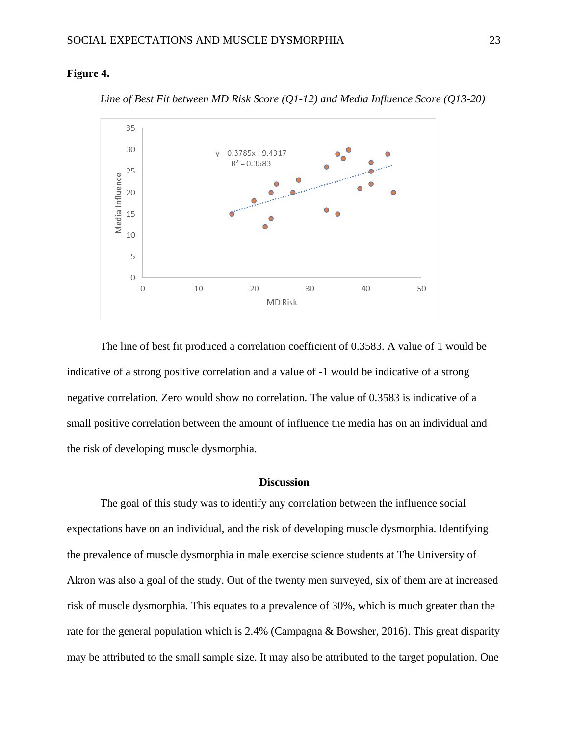#### **Figure 4.**



*Line of Best Fit between MD Risk Score (Q1-12) and Media Influence Score (Q13-20)*

The line of best fit produced a correlation coefficient of 0.3583. A value of 1 would be indicative of a strong positive correlation and a value of -1 would be indicative of a strong negative correlation. Zero would show no correlation. The value of 0.3583 is indicative of a small positive correlation between the amount of influence the media has on an individual and the risk of developing muscle dysmorphia.

#### **Discussion**

<span id="page-23-0"></span>The goal of this study was to identify any correlation between the influence social expectations have on an individual, and the risk of developing muscle dysmorphia. Identifying the prevalence of muscle dysmorphia in male exercise science students at The University of Akron was also a goal of the study. Out of the twenty men surveyed, six of them are at increased risk of muscle dysmorphia. This equates to a prevalence of 30%, which is much greater than the rate for the general population which is 2.4% (Campagna & Bowsher, 2016). This great disparity may be attributed to the small sample size. It may also be attributed to the target population. One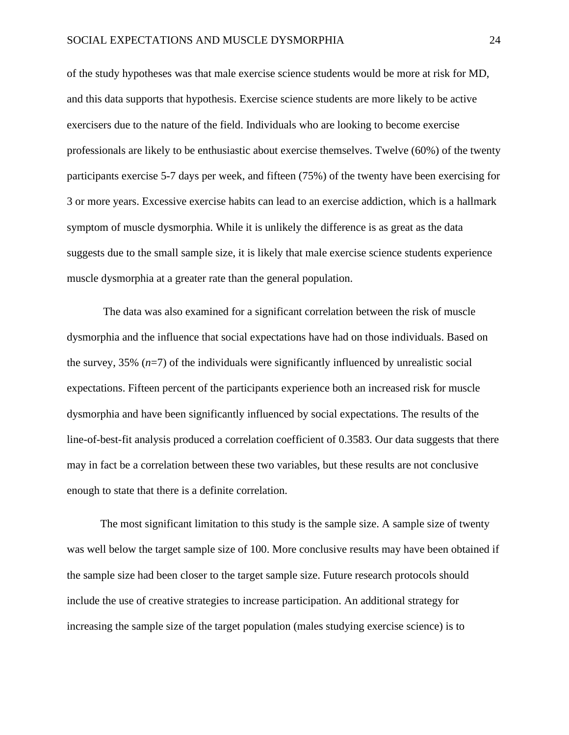of the study hypotheses was that male exercise science students would be more at risk for MD, and this data supports that hypothesis. Exercise science students are more likely to be active exercisers due to the nature of the field. Individuals who are looking to become exercise professionals are likely to be enthusiastic about exercise themselves. Twelve (60%) of the twenty participants exercise 5-7 days per week, and fifteen (75%) of the twenty have been exercising for 3 or more years. Excessive exercise habits can lead to an exercise addiction, which is a hallmark symptom of muscle dysmorphia. While it is unlikely the difference is as great as the data suggests due to the small sample size, it is likely that male exercise science students experience muscle dysmorphia at a greater rate than the general population.

The data was also examined for a significant correlation between the risk of muscle dysmorphia and the influence that social expectations have had on those individuals. Based on the survey,  $35\%$  ( $n=7$ ) of the individuals were significantly influenced by unrealistic social expectations. Fifteen percent of the participants experience both an increased risk for muscle dysmorphia and have been significantly influenced by social expectations. The results of the line-of-best-fit analysis produced a correlation coefficient of 0.3583. Our data suggests that there may in fact be a correlation between these two variables, but these results are not conclusive enough to state that there is a definite correlation.

The most significant limitation to this study is the sample size. A sample size of twenty was well below the target sample size of 100. More conclusive results may have been obtained if the sample size had been closer to the target sample size. Future research protocols should include the use of creative strategies to increase participation. An additional strategy for increasing the sample size of the target population (males studying exercise science) is to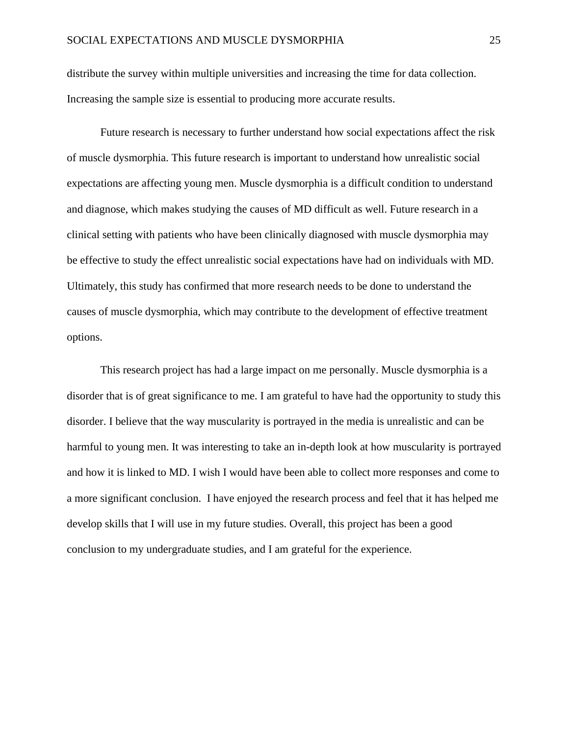distribute the survey within multiple universities and increasing the time for data collection. Increasing the sample size is essential to producing more accurate results.

Future research is necessary to further understand how social expectations affect the risk of muscle dysmorphia. This future research is important to understand how unrealistic social expectations are affecting young men. Muscle dysmorphia is a difficult condition to understand and diagnose, which makes studying the causes of MD difficult as well. Future research in a clinical setting with patients who have been clinically diagnosed with muscle dysmorphia may be effective to study the effect unrealistic social expectations have had on individuals with MD. Ultimately, this study has confirmed that more research needs to be done to understand the causes of muscle dysmorphia, which may contribute to the development of effective treatment options.

This research project has had a large impact on me personally. Muscle dysmorphia is a disorder that is of great significance to me. I am grateful to have had the opportunity to study this disorder. I believe that the way muscularity is portrayed in the media is unrealistic and can be harmful to young men. It was interesting to take an in-depth look at how muscularity is portrayed and how it is linked to MD. I wish I would have been able to collect more responses and come to a more significant conclusion. I have enjoyed the research process and feel that it has helped me develop skills that I will use in my future studies. Overall, this project has been a good conclusion to my undergraduate studies, and I am grateful for the experience.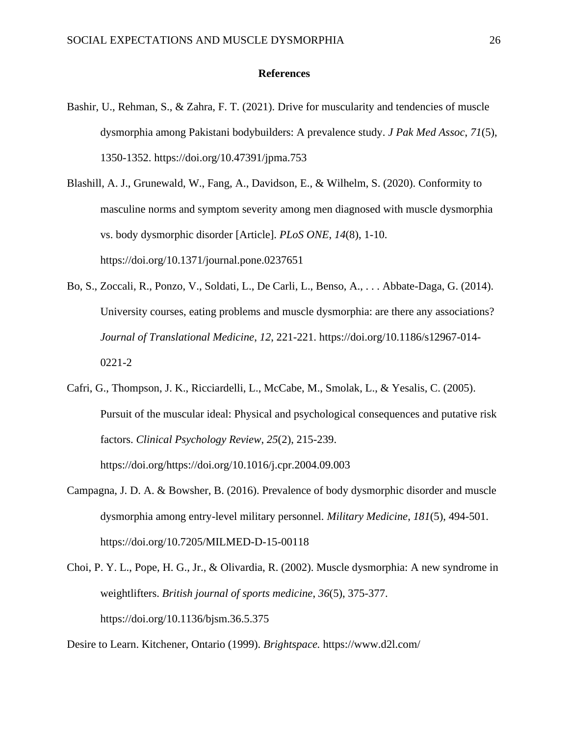#### **References**

- <span id="page-26-0"></span>Bashir, U., Rehman, S., & Zahra, F. T. (2021). Drive for muscularity and tendencies of muscle dysmorphia among Pakistani bodybuilders: A prevalence study. *J Pak Med Assoc*, *71*(5), 1350-1352. https://doi.org/10.47391/jpma.753
- Blashill, A. J., Grunewald, W., Fang, A., Davidson, E., & Wilhelm, S. (2020). Conformity to masculine norms and symptom severity among men diagnosed with muscle dysmorphia vs. body dysmorphic disorder [Article]. *PLoS ONE*, *14*(8), 1-10. https://doi.org/10.1371/journal.pone.0237651
- Bo, S., Zoccali, R., Ponzo, V., Soldati, L., De Carli, L., Benso, A., . . . Abbate-Daga, G. (2014). University courses, eating problems and muscle dysmorphia: are there any associations? *Journal of Translational Medicine*, *12*, 221-221. https://doi.org/10.1186/s12967-014- 0221-2
- Cafri, G., Thompson, J. K., Ricciardelli, L., McCabe, M., Smolak, L., & Yesalis, C. (2005). Pursuit of the muscular ideal: Physical and psychological consequences and putative risk factors. *Clinical Psychology Review*, *25*(2), 215-239. https://doi.org/https://doi.org/10.1016/j.cpr.2004.09.003
- Campagna, J. D. A. & Bowsher, B. (2016). Prevalence of body dysmorphic disorder and muscle dysmorphia among entry-level military personnel. *Military Medicine*, *181*(5), 494-501. https://doi.org/10.7205/MILMED-D-15-00118
- Choi, P. Y. L., Pope, H. G., Jr., & Olivardia, R. (2002). Muscle dysmorphia: A new syndrome in weightlifters. *British journal of sports medicine*, *36*(5), 375-377. https://doi.org/10.1136/bjsm.36.5.375

Desire to Learn. Kitchener, Ontario (1999). *Brightspace.* https://www.d2l.com/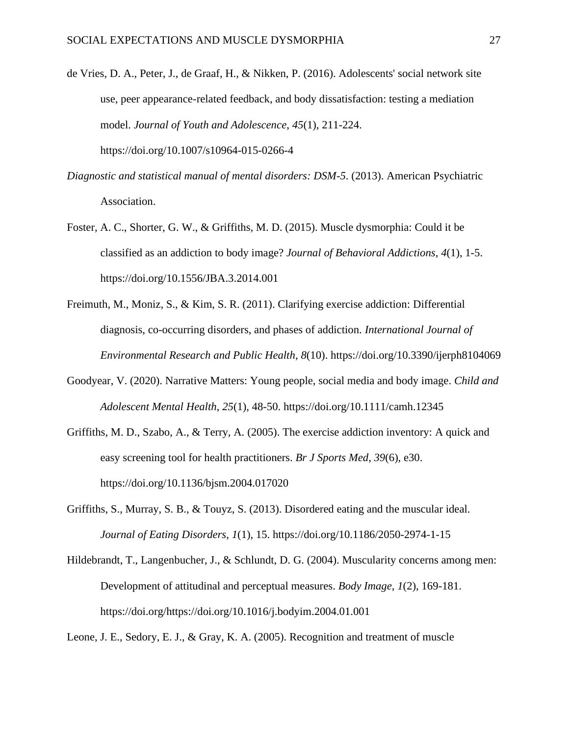- de Vries, D. A., Peter, J., de Graaf, H., & Nikken, P. (2016). Adolescents' social network site use, peer appearance-related feedback, and body dissatisfaction: testing a mediation model. *Journal of Youth and Adolescence*, *45*(1), 211-224. https://doi.org/10.1007/s10964-015-0266-4
- *Diagnostic and statistical manual of mental disorders: DSM-5*. (2013). American Psychiatric Association.
- Foster, A. C., Shorter, G. W., & Griffiths, M. D. (2015). Muscle dysmorphia: Could it be classified as an addiction to body image? *Journal of Behavioral Addictions*, *4*(1), 1-5. https://doi.org/10.1556/JBA.3.2014.001
- Freimuth, M., Moniz, S., & Kim, S. R. (2011). Clarifying exercise addiction: Differential diagnosis, co-occurring disorders, and phases of addiction. *International Journal of Environmental Research and Public Health*, *8*(10). https://doi.org/10.3390/ijerph8104069
- Goodyear, V. (2020). Narrative Matters: Young people, social media and body image. *Child and Adolescent Mental Health*, *25*(1), 48-50. https://doi.org/10.1111/camh.12345
- Griffiths, M. D., Szabo, A., & Terry, A. (2005). The exercise addiction inventory: A quick and easy screening tool for health practitioners. *Br J Sports Med*, *39*(6), e30. https://doi.org/10.1136/bjsm.2004.017020
- Griffiths, S., Murray, S. B., & Touyz, S. (2013). Disordered eating and the muscular ideal. *Journal of Eating Disorders*, *1*(1), 15. https://doi.org/10.1186/2050-2974-1-15
- Hildebrandt, T., Langenbucher, J., & Schlundt, D. G. (2004). Muscularity concerns among men: Development of attitudinal and perceptual measures. *Body Image*, *1*(2), 169-181. https://doi.org/https://doi.org/10.1016/j.bodyim.2004.01.001

Leone, J. E., Sedory, E. J., & Gray, K. A. (2005). Recognition and treatment of muscle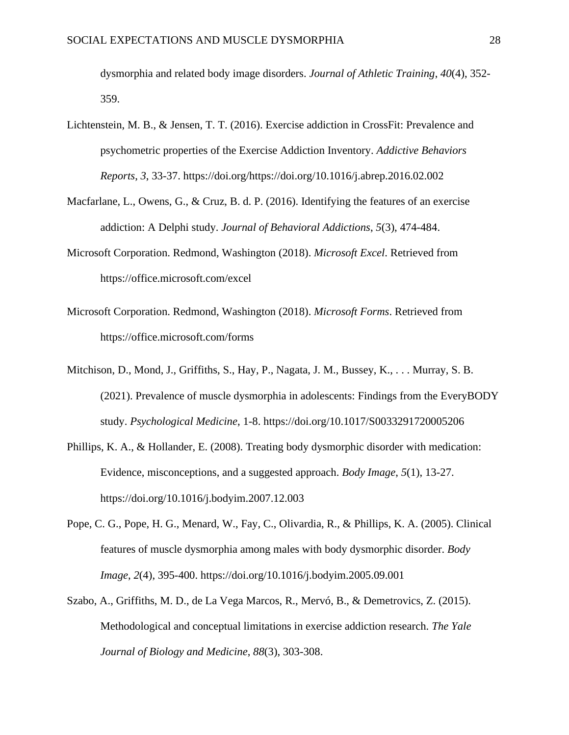dysmorphia and related body image disorders. *Journal of Athletic Training*, *40*(4), 352- 359.

- Lichtenstein, M. B., & Jensen, T. T. (2016). Exercise addiction in CrossFit: Prevalence and psychometric properties of the Exercise Addiction Inventory. *Addictive Behaviors Reports*, *3*, 33-37. https://doi.org/https://doi.org/10.1016/j.abrep.2016.02.002
- Macfarlane, L., Owens, G., & Cruz, B. d. P. (2016). Identifying the features of an exercise addiction: A Delphi study. *Journal of Behavioral Addictions*, *5*(3), 474-484.
- Microsoft Corporation. Redmond, Washington (2018). *Microsoft Excel*. Retrieved from https://office.microsoft.com/excel
- Microsoft Corporation. Redmond, Washington (2018). *Microsoft Forms*. Retrieved from https://office.microsoft.com/forms
- Mitchison, D., Mond, J., Griffiths, S., Hay, P., Nagata, J. M., Bussey, K., . . . Murray, S. B. (2021). Prevalence of muscle dysmorphia in adolescents: Findings from the EveryBODY study. *Psychological Medicine*, 1-8. https://doi.org/10.1017/S0033291720005206
- Phillips, K. A., & Hollander, E. (2008). Treating body dysmorphic disorder with medication: Evidence, misconceptions, and a suggested approach. *Body Image*, *5*(1), 13-27. https://doi.org/10.1016/j.bodyim.2007.12.003
- Pope, C. G., Pope, H. G., Menard, W., Fay, C., Olivardia, R., & Phillips, K. A. (2005). Clinical features of muscle dysmorphia among males with body dysmorphic disorder. *Body Image*, *2*(4), 395-400. https://doi.org/10.1016/j.bodyim.2005.09.001
- Szabo, A., Griffiths, M. D., de La Vega Marcos, R., Mervó, B., & Demetrovics, Z. (2015). Methodological and conceptual limitations in exercise addiction research. *The Yale Journal of Biology and Medicine*, *88*(3), 303-308.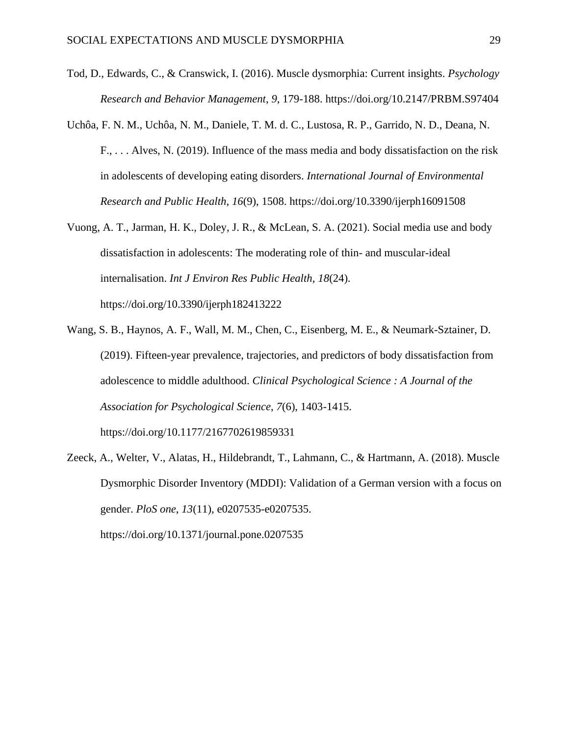- Tod, D., Edwards, C., & Cranswick, I. (2016). Muscle dysmorphia: Current insights. *Psychology Research and Behavior Management*, *9*, 179-188. https://doi.org/10.2147/PRBM.S97404
- Uchôa, F. N. M., Uchôa, N. M., Daniele, T. M. d. C., Lustosa, R. P., Garrido, N. D., Deana, N. F., . . . Alves, N. (2019). Influence of the mass media and body dissatisfaction on the risk in adolescents of developing eating disorders. *International Journal of Environmental Research and Public Health*, *16*(9), 1508. https://doi.org/10.3390/ijerph16091508
- Vuong, A. T., Jarman, H. K., Doley, J. R., & McLean, S. A. (2021). Social media use and body dissatisfaction in adolescents: The moderating role of thin- and muscular-ideal internalisation. *Int J Environ Res Public Health*, *18*(24). https://doi.org/10.3390/ijerph182413222
- Wang, S. B., Haynos, A. F., Wall, M. M., Chen, C., Eisenberg, M. E., & Neumark-Sztainer, D. (2019). Fifteen-year prevalence, trajectories, and predictors of body dissatisfaction from adolescence to middle adulthood. *Clinical Psychological Science : A Journal of the Association for Psychological Science*, *7*(6), 1403-1415. https://doi.org/10.1177/2167702619859331
- Zeeck, A., Welter, V., Alatas, H., Hildebrandt, T., Lahmann, C., & Hartmann, A. (2018). Muscle Dysmorphic Disorder Inventory (MDDI): Validation of a German version with a focus on gender. *PloS one*, *13*(11), e0207535-e0207535. https://doi.org/10.1371/journal.pone.0207535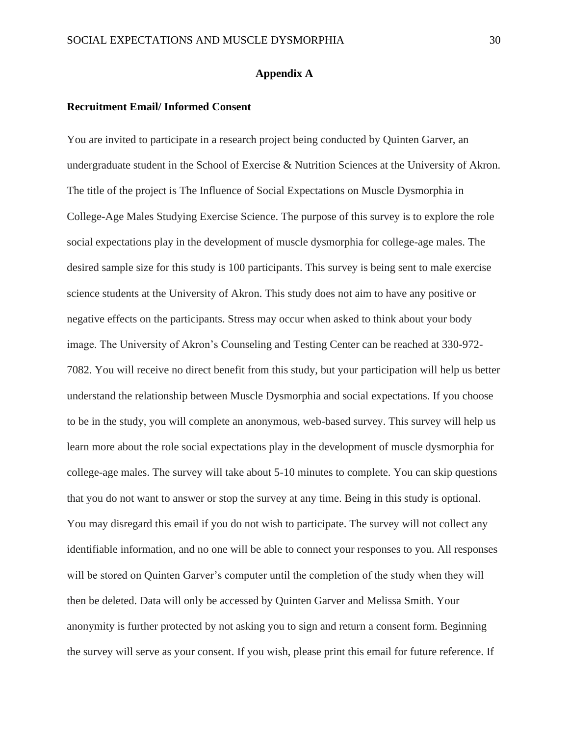#### **Appendix A**

#### <span id="page-30-0"></span>**Recruitment Email/ Informed Consent**

You are invited to participate in a research project being conducted by Quinten Garver, an undergraduate student in the School of Exercise & Nutrition Sciences at the University of Akron. The title of the project is The Influence of Social Expectations on Muscle Dysmorphia in College-Age Males Studying Exercise Science. The purpose of this survey is to explore the role social expectations play in the development of muscle dysmorphia for college-age males. The desired sample size for this study is 100 participants. This survey is being sent to male exercise science students at the University of Akron. This study does not aim to have any positive or negative effects on the participants. Stress may occur when asked to think about your body image. The University of Akron's Counseling and Testing Center can be reached at 330-972- 7082. You will receive no direct benefit from this study, but your participation will help us better understand the relationship between Muscle Dysmorphia and social expectations. If you choose to be in the study, you will complete an anonymous, web-based survey. This survey will help us learn more about the role social expectations play in the development of muscle dysmorphia for college-age males. The survey will take about 5-10 minutes to complete. You can skip questions that you do not want to answer or stop the survey at any time. Being in this study is optional. You may disregard this email if you do not wish to participate. The survey will not collect any identifiable information, and no one will be able to connect your responses to you. All responses will be stored on Quinten Garver's computer until the completion of the study when they will then be deleted. Data will only be accessed by Quinten Garver and Melissa Smith. Your anonymity is further protected by not asking you to sign and return a consent form. Beginning the survey will serve as your consent. If you wish, please print this email for future reference. If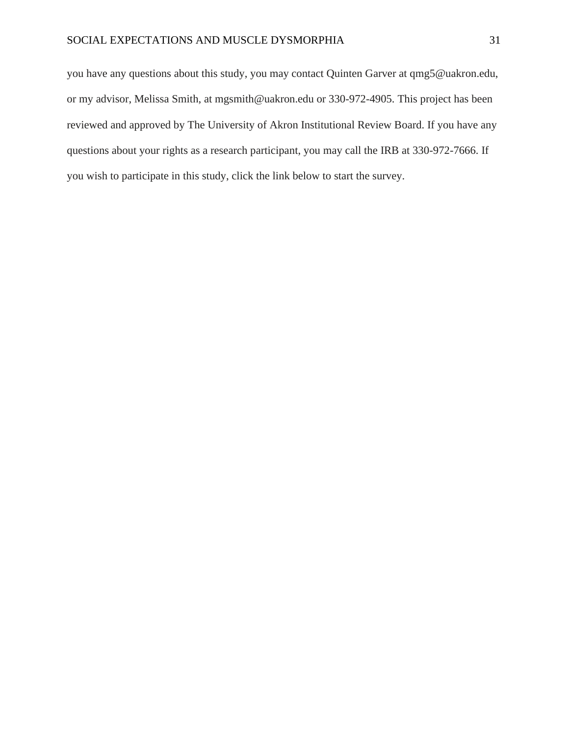you have any questions about this study, you may contact Quinten Garver at qmg5@uakron.edu, or my advisor, Melissa Smith, at mgsmith@uakron.edu or 330-972-4905. This project has been reviewed and approved by The University of Akron Institutional Review Board. If you have any questions about your rights as a research participant, you may call the IRB at 330-972-7666. If you wish to participate in this study, click the link below to start the survey.